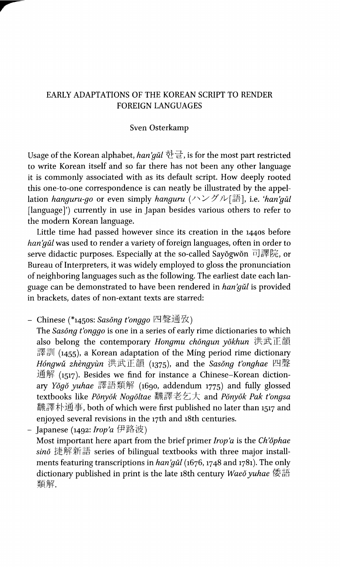# EARLY ADAPTATIONS OF THE KOREAN SCRIPT TO RENDER FOREIGN LANGUAGES

# Sven Osterkamp

Usage of the Korean alphabet, *han'gŭl* 한글, is for the most part restricted to write Korean itself and so far there has not been any other language it is commonly associated with as its default script. How deeply rooted this one-to-one correspondence is can neatly be illustrated by the appellation *hanguru-go* or even simply *hanguru* (ハングル[語], i.e. *'han'gǔl* [language]') currently in use in Japan besides various others to refer to the modern Korean language.

Little time had passed however since its creation in the 1440s before *han 'gul* was used to render a variety of foreign languages, often in order to serve didactic purposes. Especially at the so-called Sayǒgwǒn 司譯院, or Bureau of Interpreters, it was widely employed to gloss the pronunciation of neighboring languages such as the following. The earliest date each language can be demonstrated to have been rendered in *han 'gul* is provided in brackets, dates of non-extant texts are starred:

- Chinese (\*1450s: *Sasŏng t'onggo* 四聲通攷)

The *Sasong t'onggo* is one in a series of early rime dictionaries to which also belong the contemporary *Hongmu chongun yŏkhun* 洪武正韻 譯訓 (1455), a Korean adaptation of the Ming period rime dictionary *Hóngwǔ zhèngyùn* 洪武正韻 (1375), and the *Sasŏng t'onghae* 四聲 通解 (1517). Besides we find for instance a Chinese-Korean dictionary *Yŏgŏ yuhae* 譯語類解 (1690, addendum 1775) and fully glossed textbooks like *Pŏnyŏk Nogŏltae* 飜譯老乞大 and *Pŏnyŏk Pak t'ongsa* 飜譯朴通事, both of which were first published no later than 1517 and enjoyed several revisions in the 17th and 18th centuries.

- Japanese (1492: *Irop'a* 伊路波)

Most important here apart from the brief primer *Irop'a* is the *Ch'ophae*  sino 捷解新語 series of bilingual textbooks with three major installments featuring transcriptions in *han'gul* (1676, 1748 and 1781). The only dictionary published in print is the late 18th century *Waeŏ yuhae* 倭語 類解.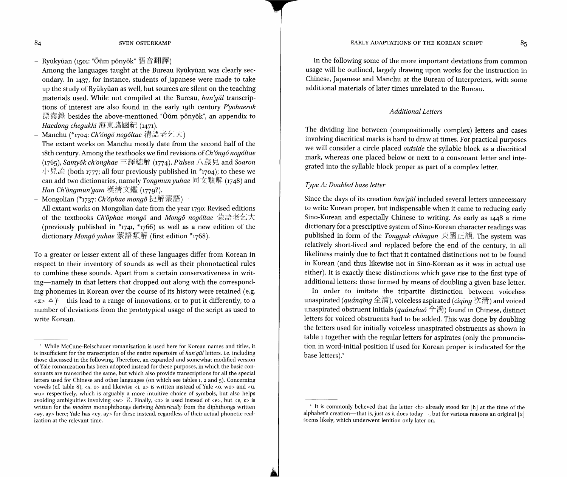- Ryūkyūan (1501: "Ŏŭm pŏnyŏk" 語音翻譯)

Among the languages taught at the Bureau Ryūkyūan was clearly secondary. In 1437, for instance, students of Japanese were made to take up the study of Ryūkyūan as well, but sources are silent on the teaching materials used. While not compiled at the Bureau, *han'gul* transcriptions of interest are also found in the early 19th century *P'yohaerok ¥Wf4flijdf!J<* besides the above-mentioned "Oum ponyok", an appendix to Haedong chegukki 海東諸國紀 (1471).

Manchu (\*1704: *Ch'ŏngŏ nogŏltae* 清語老乞大)

The extant works on Manchu mostly date from the second half of the 18th century. Among the textbooks we find revisions of *Ch'ongo nogoltae*  (1765), *Samyŏk ch'onghae* 三譯總解 (1774), *P'alsea* 八歳兒 and *Soaron* 小兒論 (both 1777; all four previously published in \*1704); to these we can add two dictionaries, namely *Tongmun yuhae* 同文類解 (1748) and *Han Ch'ongmun'gam* 漢清文鑑 (1779?).

- Mongolian (\*1737: *Ch'ŏphae mongŏ* 捷解蒙語)

All extant works on Mongolian date from the year 1790: Revised editions of the textbooks *Ch'ophae mongo* and *Mongo nogoltae* 蒙語老乞大 (previously published in  $*_{1741}$ ,  $*_{1766}$ ) as well as a new edition of the dictionary *Mongo yuhae* 蒙語類解 (first edition \*1768).

To a greater or lesser extent all of these languages differ from Korean in respect to their inventory of sounds as well as their phonotactical rules to combine these sounds. Apart from a certain conservativeness in writing-namely in that letters that dropped out along with the corresponding phonemes in Korean over the course of its history were retained (e.g.  $\langle z \rangle$   $\triangle$  )<sup>1</sup>—this lead to a range of innovations, or to put it differently, to a number of deviations from the prototypical usage of the script as used to write Korean.

In the following some of the more important deviations from common usage will be outlined, largely drawing upon works for the instruction in Chinese, Japanese and Manchu at the Bureau of Interpreters, with some additional materials of later times unrelated to the Bureau.

# *Additional Letters*

The dividing line between (compositionally complex) letters and cases involving diacritical marks is hard to draw at times. For practical purposes we will consider a circle placed *outside* the syllable block as a diacritical mark, whereas one placed below or next to a consonant letter and integrated into the syllable block proper as part of a complex letter.

# *Type A: Doubled base letter*

Since the days of its creation *han 'gut* included several letters unnecessary to write Korean proper, but indispensable when it came to reducing early Sino-Korean and especially Chinese to writing. As early as 1448 a rime dictionary for a prescriptive system of Sino-Korean character readings was published in form of the *Tongguk chongun* 東國正韻. The system was relatively short-lived and replaced before the end of the century, in all likeliness mainly due to fact that it contained distinctions not to be found in Korean (and thus likewise not in Sino-Korean as it was in actual use either). It is exactly these distinctions which gave rise to the first type of additional letters: those formed by means of doubling a given base letter.

In order to imitate the tripartite distinction between voiceless unaspirated *(quánqīng* 全清), voiceless aspirated *(cìqīng* 次清) and voiced unaspirated obstruent initials (quánzhuó 全濁) found in Chinese, distinct letters for voiced obstruents had to be added. This was done by doubling the letters used for initially voiceless unaspirated obstruents as shown in table 1 together with the regular letters for aspirates (only the pronunciation in word-initial position if used for Korean proper is indicated for the base letters).<sup>2</sup>

84

<sup>&#</sup>x27; While McCune-Reischauer romanization is used here for Korean names and titles, it is insufficient for the transcription of the entire repertoire of *han'gulletters,* i.e. including those discussed in the following. Therefore, an expanded and somewhat modified version ofYale romanization has been adopted instead for these purposes, in which the basic consonants are transcribed the same, but which also provide transcriptions for all the special letters used for Chinese and other languages (on which see tables 1, 2 and 5). Concerning vowels (cf. table 8),  $\langle A, 0 \rangle$  and likewise  $\langle A, 1 \rangle$  is written instead of Yale  $\langle A, 0 \rangle$  and  $\langle A, 0 \rangle$ wu> respectively, which is arguably a more intuitive choice of symbols, but also helps avoiding ambiguities involving  $\langle w \rangle$   $\overline{S}$ . Finally,  $\langle \varphi \rangle$  is used instead of  $\langle e \rangle$ , but  $\langle e, \varepsilon \rangle$  is written for the *modem* monophthongs deriving *historically* from the diphthongs written  $\langle$  ay> here; Yale has  $\langle$  ey, ay> for these instead, regardless of their actual phonetic realization at the relevant time.

<sup>&</sup>lt;sup>2</sup> It is commonly believed that the letter <h> already stood for [h] at the time of the alphabet's creation-that is, just as it does today-, but for various reasons an original  $[x]$ seems likely, which underwent lenition only later on.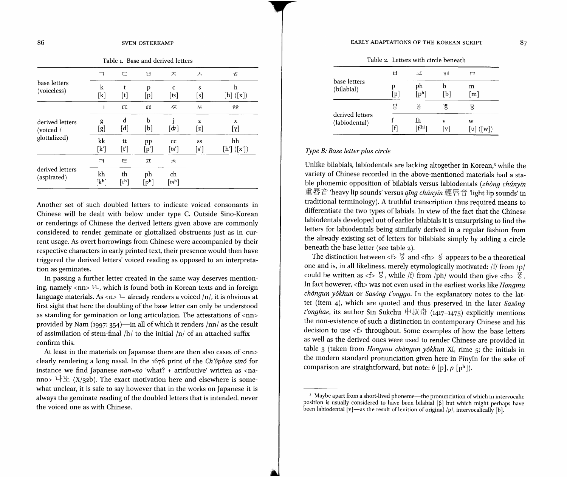#### SVEN OSTERKAMP

|  | Table 1. Base and derived letters |
|--|-----------------------------------|
|--|-----------------------------------|

|                                              |                         | 匸                                  | 日                                  | 大                             | 入                                    | ਠੋ                 |
|----------------------------------------------|-------------------------|------------------------------------|------------------------------------|-------------------------------|--------------------------------------|--------------------|
| base letters<br>(voiceless)                  | k<br>$[{\rm k}]$        | t<br>$[\mathbf{t}]$                | p<br>[p                            | c<br>$[\mathbf{t}]$           | S<br>[s]                             | h<br>[h] ([x])     |
| derived letters<br>(voiced /<br>glottalized) | 77                      | 叿                                  | . HH                               | ᄍ                             | ᄊ                                    | ਠੌਠੋ               |
|                                              | g<br>[g]                | d<br>$[\mathrm{d}]$                | b<br>[b]                           | $\left[ \mathrm{d}\!z\right]$ | $\mathbf{Z}% _{0}$<br>$[\mathrm{z}]$ | $\mathbf x$<br>[x] |
|                                              | kk<br>[k']              | tt<br>[t']                         | pp<br>[p']                         | cc<br>$[\mathbf{t}]$          | SS<br>[s']                           | hh<br>[h'] ([x'])  |
|                                              | ㅋ                       | Е                                  | $\overline{\mathbf{u}}$            | 夫                             |                                      |                    |
| derived letters<br>(aspirated)               | kh<br>[k <sup>h</sup> ] | th<br>$\lceil t^{\text{h}} \rceil$ | ph<br>$\lceil \mathbf{p^h} \rceil$ | ch<br>$\lceil$ tsh]           |                                      |                    |

Another set of such doubled letters to indicate voiced consonants in Chinese will be dealt with below under type C. Outside Sino-Korean or renderings of Chinese the derived letters given above are commonly considered to render geminate or glottalized obstruents just as in current usage. As overt borrowings from Chinese were accompanied by their respective characters in early printed text, their presence would then have triggered the derived letters' voiced reading as opposed to an interpretation as geminates.

In passing a further letter created in the same way deserves mentioning, namely  $\langle$ nn>  $\mathcal{U}$ , which is found both in Korean texts and in foreign language materials. As <n>  $\mathrel{\cup}$  already renders a voiced /n/, it is obvious at first sight that here the doubling of the base letter can only be understood as standing for gemination or long articulation. The attestations of <nn> provided by Nam (1997: 354)-in all of which it renders /nn/ as the result of assimilation of stem-final  $/h/$  to the initial  $/n/$  of an attached suffixconfirm this.

At least in the materials on Japanese there are then also cases of <nn> clearly rendering a long nasal. In the 1676 print of the *Ch 'ophae sino* for instance we find Japanese *nan=no* 'what? + attributive' written as <nanno> 나또 (X/32b). The exact motivation here and elsewhere is somewhat unclear, it is safe to say however that in the works on Japanese it is always the geminate reading of the doubled letters that is intended, never the voiced one as with Chinese.

Table 2. Letters with circle beneath

| base letters<br>(bilabial)       | H   | $\overline{M}$                             | ΗН         |                                              |
|----------------------------------|-----|--------------------------------------------|------------|----------------------------------------------|
|                                  | p   | ph<br>$\mathsf{I} \mathsf{p} \mathsf{h}$ , | 1b I       | m<br>$\lceil m \rceil$                       |
| derived letters<br>(labiodental) | 보   | 꾱                                          | 뵁          | 뭉                                            |
|                                  | ΙfΙ | fh<br>[քև)]                                | v<br>l v l | w<br>$\lceil v \rceil$ ( $\lceil w \rceil$ ) |

# *Type B: Base letter plus circle*

Unlike bilabials, labiodentals are lacking altogether in Korean,<sup>3</sup> while the variety of Chinese recorded in the above-mentioned materials had a stable phonemic opposition of bilabials versus labiodentals (zhòng chúnyin 重唇音 'heavy lip sounds' versus *qīng chúnyīn* 輕唇音 'light lip sounds' in traditional terminology). A truthful transcription thus required means to differentiate the two types of labials. In view of the fact that the Chinese labiodentals developed out of earlier bilabials it is unsurprising to find the letters for labiodentals being similarly derived in a regular fashion from the already existing set of letters for bilabials: simply by adding a circle beneath the base letter (see table 2).

The distinction between <f>  $\overline{5}$  and <fh> $\overline{5}$  appears to be a theoretical one and is, in all likeliness, merely etymologically motivated:  $|f|$  from  $|p|$ could be written as <f>  $\overline{5}$ , while /f/ from /ph/ would then give <fh>  $\overline{5}$ . In fact however, <fh> was not even used in the earliest works like *Hongmu chongun yokhun* or *Sasong t'onggo.* In the explanatory notes to the latter (item 4), which are quoted and thus preserved in the later *Sasong t'onghae*, its author Sin Sukchu 申叔舟 (1417-1475) explicitly mentions the non-existence of such a distinction in contemporary Chinese and his decision to use <f> throughout. Some examples of how the base letters as well as the derived ones were used to render Chinese are provided in table 3 (taken from *Hongmu chongun yokhun* XI, rime 5; the initials in the modern standard pronunciation given here in Pinyin for the sake of comparison are straightforward, but note: *b* [p], *p* [ph]).

<sup>&</sup>lt;sup>3</sup> Maybe apart from a short-lived phoneme—the pronunciation of which in intervocalic position is usually considered to have been bilabial  $[\beta]$  but which might perhaps have been labiodental [v]-as the result of lenition of original  $/p/$ , intervocalically [b].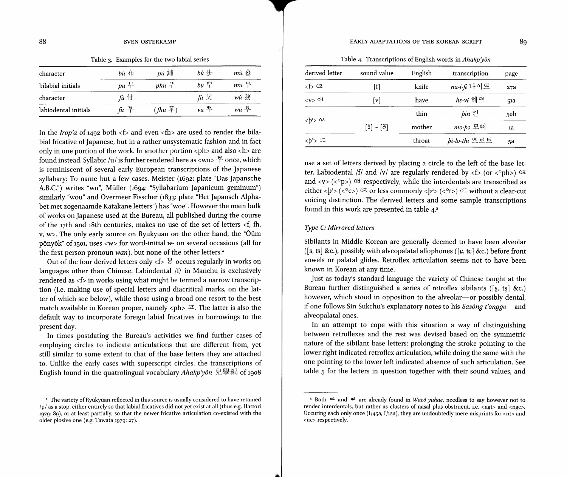## 88 SVEN OSTERKAMP

Table 3. Examples for the two labial series

| character            | bù 布        | pù 鋪                | bù 步      | $m\dot{u}$ 暮         |
|----------------------|-------------|---------------------|-----------|----------------------|
| bilabial initials    | pu 부        | phu $\frac{\pi}{2}$ | $bu$ 뿌    | $mu \nightharpoonup$ |
| character            | fù 付        |                     | fù $\chi$ | wù 務                 |
| labiodental initials | <b>fi</b> 早 | ( <i>fhu</i> 平)     | νu 뿌      | wu 루                 |

In the *Irop'a* of 1492 both  $\leq$  and even  $\leq$  fh> are used to render the bilabial fricative of Japanese, but in a rather unsystematic fashion and in fact only in one portion of the work. In another portion  $\langle$ ph> and also  $\langle$ h> are found instead. Syllabic /u/ is further rendered here as <wu> $\frac{18}{7}$  once, which is reminiscent of several early European transcriptions of the Japanese syllabary: To name but a few cases, Meister (1692: plate "Das Japansche A.B.C.") writes "wu", Muller (1694: "Syllabarium Japanicum geminum") similarly "wou" and Overmeer Fisscher (1833: plate "Het Japansch Alphabet met zogenaamde Katakane letters") has "woe". However the main bulk of works on Japanese used at the Bureau, all published during the course of the 17th and 18th centuries, makes no use of the set of letters <f, fh,  $v, w$ . The only early source on Ryūkyūan on the other hand, the "Oum pŏnyŏ $k$ " of 1501, uses <w> for word-initial  $w$ - on several occasions (all for the first person pronoun wan), but none of the other letters.<sup>4</sup>

Out of the four derived letters only  $\leq$   $\frac{1}{6}$  occurs regularly in works on languages other than Chinese. Labiodental /f/ in Manchu is exclusively rendered as <f> in works using what might be termed a narrow transcription (i.e. making use of special letters and diacritical marks, on the latter of which see below), while those using a broad one resort to the best match available in Korean proper, namely  $\langle$ ph $\rangle \mathcal{I}$ . The latter is also the default way to incorporate foreign labial fricatives in borrowings to the present day.

In times postdating the Bureau's activities we find further cases of employing circles to indicate articulations that are different from, yet still similar to some extent to that of the base letters they are attached to. Unlike the early cases with superscript circles, the transcriptions of English found in the quatrolingual vocabulary *Ahakp'yǒn* 兒學編 of 1908

| derived letter               | sound value             | English | transcription                                                                  | page |
|------------------------------|-------------------------|---------|--------------------------------------------------------------------------------|------|
| <f> 0⊥</f>                   | Ħ                       | knife   | $na-i-fi$ 나이 $@$                                                               | 27a  |
| $<$ v> $\circ$ <sup>DH</sup> | [v]                     | have    | $he\nu i$ 해액                                                                   | 51a  |
| $\langle b^1 \rangle$ OX     |                         | thin    | $pin \mathbb{C}$                                                               | 50b  |
|                              | $[\theta]$ ~ $[\delta]$ | mother  | mo-pa 모여                                                                       | 1a   |
| $\langle b^2 \rangle$ OC     |                         | throat  | $\mathit{bi}\text{-}\mathit{lo}\text{-}\mathit{thi} \subseteq \Xi \sqsubseteq$ | 5a   |

use a set of letters derived by placing a circle to the left of the base letter. Labiodental /f/ and /v/ are regularly rendered by <f> (or <0ph>)  $\circ$ <sup>1</sup> and  $\langle v \rangle$  ( $\langle \circ p \rangle$ ) <sup>o</sup> respectively, while the interdentals are transcribed as either <br/>  $\langle$  -^0  $\rangle$  ox or less commonly <br/> <br/>e^2> (<^0) o<br/> without a clear-cut voicing distinction. The derived letters and some sample transcriptions found in this work are presented in table 4.<sup>5</sup>

# *Type C: Mirrored Letters*

Sibilants in Middle Korean are generally deemed to have been alveolar ([s, ts] &c.), possibly with alveopalatal allophones ( $\lceil \varepsilon, \varepsilon \rceil$  &c.) before front vowels or palatal glides. Retroflex articulation seems not to have been known in Korean at any time.

Just as today's standard language the variety of Chinese taught at the Bureau further distinguished a series of retroflex sibilants ( $[s, ts]$  &c.) however, which stood in opposition to the alveolar-or possibly dental, if one follows Sin Sukchu's explanatory notes to his *Sasong t'onggo-and*  alveopalatal ones.

In an attempt to cope with this situation a way of distinguishing between retroflexes and the rest was devised based on the symmetric nature of the sibilant base letters: prolonging the stroke pointing to the lower right indicated retroflex articulation, while doing the same with the one pointing to the lower left indicated absence of such articulation. See table 5 for the letters in question together with their sound values, and

<sup>&</sup>lt;sup>4</sup> The variety of Ryūkyūan reflected in this source is usually considered to have retained /p/ as a stop, either entirely so that labial fricatives did not yet exist at all (thus e.g. Hattori 1979: 89), or at least partially, so that the newer fricative articulation co-existed with the older plosive one (e.g. Tawata 1979: 27 ).

<sup>&</sup>lt;sup>5</sup> Both <sup>ot</sup> and  $\sigma$  are already found in *Waeo yuhae*, needless to say however not to render interdentals, but rather as clusters of nasal plus obstruent, i.e.  $\langle$ ngt> and  $\langle$ ngc>. Occuring each only once (I/45a, I/12a), they are undoubtedly mere misprints for  $\langle$ nt> and <nc> respectively.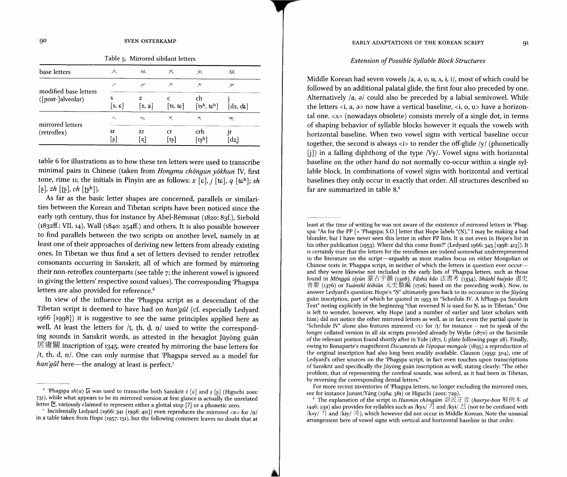## go SVEN OSTERKAMP

|  | Table 5. Mirrored sibilant letters |  |  |
|--|------------------------------------|--|--|
|--|------------------------------------|--|--|

| base letters                                 |                           | ᄊ          | ㅈ                      | 仧                                                      | ᄍ                      |
|----------------------------------------------|---------------------------|------------|------------------------|--------------------------------------------------------|------------------------|
|                                              |                           | M          | ᅎ                      | ★                                                      | $\overline{Z}$         |
| modified base letters<br>$([post-]alveolar)$ | s<br>$\lceil s, c \rceil$ | z<br> z, z | c<br>[ts, tc]          | ch<br>$[\mathbf{t}^{\text{h}}, \mathbf{t}^{\text{h}}]$ | $\lceil dz, dz \rceil$ |
| mirrored letters                             | へ                         | へ          | ᅐ                      | ★                                                      | ᅑ                      |
| (retroflex)                                  | sr<br>l§.                 | zr<br>IZI  | <sub>c</sub> r<br>[ts] | crh<br>$\lceil \mathbf{t}\mathbf{s}^\mathbf{h} \rceil$ | jr<br>[dz]             |

table 6 for illustrations as to how these ten letters were used to transcribe minimal pairs in Chinese (taken from *Hongmu chongun yokhun* IV, first tone, rime 11; the initials in Pinyin are as follows:  $x \lceil \varepsilon \rceil$ ,  $j \lceil \varepsilon \rceil$ ,  $q \lceil \varepsilon \rceil$ ; *sh*  $[s]$ , *zh*  $[ts]$ , *ch*  $[ts^h]$ ).

As far as the basic letter shapes are concerned, parallels or similarities between the Korean and Tibetan scripts have been noticed since the early 19th century, thus for instance by Abel-Rémusat (1820: 83f.), Siebold (1832ff.: VII, 14), Wall (1840: 254ff.) and others. It is also possible however to find parallels between the two scripts on another level, namely in at least one of their approaches of deriving new letters from already existing ones. In Tibetan we thus find a set of letters devised to render retroflex consonants occurring in Sanskrit, all of which are formed by mirroring their non-retroflex counterparts (see table 7; the inherent vowel is ignored in giving the letters' respective sound values). The corresponding 'Phagspa letters are also provided for reference.<sup>6</sup>

In view of the influence the 'Phagspa script as a descendant of the Tibetan script is deemed to have had on *han'gul* ( cf. especially Ledyard 1966 [ 1998]) it is suggestive to see the same principles applied here as well. At least the letters for  $/t$ , th, d, n/ used to write the corresponding sounds in Sanskrit words, as attested in the hexaglot Jūvong guan 居庸關 inscription of 1345, were created by mirroring the base letters for /t, th, d, n/. One can only surmise that 'Phagspa served as a model for *han'gul* here—the analogy at least is perfect.<sup>7</sup>

## EARLY ADAPTATIONS OF THE KOREAN SCRIPT

## *Extension of Possible Syllable Block Structures*

Middle Korean had seven vowels /a, a, o, u,  $\Lambda$ , i, i/, most of which could be followed by an additional palatal glide, the first four also preceded by one. Alternatively  $\vert a, a \vert$  could also be preceded by a labial semivowel. While the letters  $\langle i, a \rangle$  as now have a vertical baseline,  $\langle i, o \rangle$  as have a horizontal one.  $\langle \Delta \rangle$  (nowadays obsolete) consists merely of a single dot, in terms of shaping behavior of syllable blocks however it equals the vowels with horizontal baseline. When two vowel signs with vertical baseline occur together, the second is always <i> to render the off-glide /y/ (phonetically [i]) in a falling diphthong of the type  $/Vy/$ . Vowel signs with horizontal baseline on the other hand do not normally co-occur within a single syllable block. In combinations of vowel signs with horizontal and vertical baselines they only occur in exactly that order. All structures described so far are summarized in table 8.<sup>8</sup>

least at the time of writing he was not aware of the existence of mirrored letters in 'Phagspa: "As for the PP  $[$  = 'Phagspa; S.O.] letter that Hope labels "(N)," I may be making a bad blunder, but I have never seen this letter in other PP lists. It is not even in Hope's list in his other publication (1953). Where did this come from?" (Ledyard 1966: 343 [1998: 413]). It is certainly true that the letters for the retroflexes are indeed somewhat underrepresented in the literature on the script-arguably as most studies focus on either Mongolian or Chinese texts in 'Phagspa script, in neither of which the letters in question ever occurand they were likewise not included in the early lists of 'Phagspa letters, such as those found in *Měnggǔ ziyùn* 蒙古字韻 (1308), *Fǎshū kǎo* 法書考 (1334), *Shūshǐ huiyào* 書史 會要 (1376) or *Yuánshǐ lèibiān* 元史類編 (1706; based on the preceding work). Now, to answer Ledyard's question: Hope's "N" ultimately goes back to its occurance in the Jūyōng guan inscription, part of which he quoted in 1953 in "Schedule IV. A hPhags-pa Sanskrit Text" noting explicitly in the beginning "that reversed N is used for N, as in Tibetan." One is left to wonder, however, why Hope (and a number of earlier and later scholars with him) did not notice the other mirrored letters as well, as in fact even the partial quote in "Schedule IV" alone also features mirrored  $\langle t \rangle$  for instance – not to speak of the longer collated version in all six scripts provided already by Wylie (1870) or the facsimile of the relevant portion found shortly after in Yule (1871, I: plate following page 28). Finally, owing to Bonaparte's magnificent *Documents de l'epoque mongole* (1895) a reproduction of the original inscription had also long been readily available. Clauson (1959: 304), one of Ledyard's other sources on the 'Phagspa script, in fact even touches upon transcriptions of Sanskrit and specifically the Jūyong guan inscription as well, stating clearly: "The other problem, that of representing the cerebral sounds, was solved, as it had been in Tibetan, by reversing the corresponding dental letters."

For more recent inventories of 'Phagspa letters, no longer excluding the mirrored ones, see for instance Junast/Yáng (1984: 381) or Higuchi (2001: 729).

<sup>&</sup>lt;sup>6</sup> 'Phagspa  $sh(a)$   $\overline{a}$  was used to transcribe both Sanskrit *s* [c] and *s* [s] (Higuchi 2001: 731), while what appears to be its mirrored version at first glance is actually the unrelated letter  $\mathbb{L}$ , variously claimed to represent either a glottal stop [?] or a phonetic zero.

<sup>&</sup>lt;sup>7</sup> Incidentally Ledyard (1966: 341 [1998: 411]) even reproduces the mirrored <n> for /n/ in a table taken from Hope (1957: 151), but the following comment leaves no doubt that at

<sup>&</sup>lt;sup>8</sup> The explanation of the script in *Hunmin chongum* 訓民正音 (haerye-bon 解例本 of 1446; 23a) also provides for syllables such as  $/kyA / 2$  and  $/kyi / 2$  (not to be confused with /kay/  $\vec{z}$  and /kiy/  $\vec{z}$ ), which however did not occur in Middle Korean. Note the unusual arrangement here of vowel signs with vertical and horizontal baseline in that order.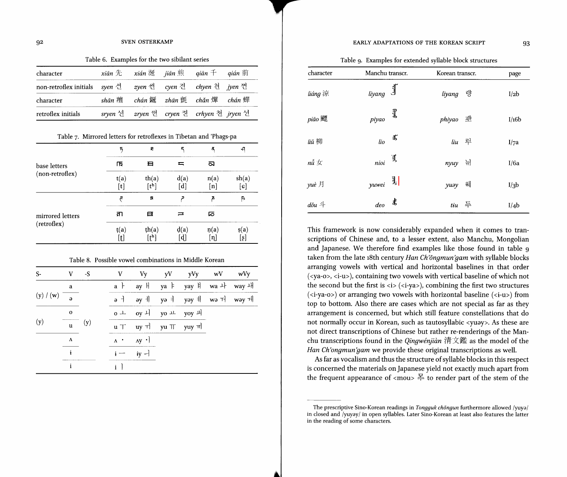## **SVEN OSTERKAMP**

Table 6. Examples for the two sibilant series

| character                                                  | xiān 先 xián 涎 jiān 煎 qiān 千 qián 前       |  |  |
|------------------------------------------------------------|------------------------------------------|--|--|
| non-retroflex initials syen 션 zyen 쎤 cyen 젼 chyen 쳔 jyen 쪈 |                                          |  |  |
| character                                                  | shān 羶 chán 鋋 zhān 氈 chǎn 燀 chán 蟬       |  |  |
| retroflex initials                                         | sryen 션 zryen 쎤 cryen 젼 crhyen 쳔 jryen 션 |  |  |

| Table 7. Mirrored letters for retroflexes in Tibetan and 'Phags-pa |  |  |  |  |  |  |  |  |  |  |
|--------------------------------------------------------------------|--|--|--|--|--|--|--|--|--|--|
|--------------------------------------------------------------------|--|--|--|--|--|--|--|--|--|--|

|                                 | 5           | 뒥                          |                      | ѫ                               | ↫                                          |
|---------------------------------|-------------|----------------------------|----------------------|---------------------------------|--------------------------------------------|
| base letters<br>(non-retroflex) | क्ति        |                            | ᆮ                    | অ                               |                                            |
|                                 | t(a)<br>[t] | th(a)<br>[t <sup>h</sup> ] | d(a)<br>$\mathsf{d}$ | n(a)<br>$\lfloor n \rfloor$     | sh(a)<br>$\left[ \left. c \right] \right.$ |
| mirrored letters<br>(retroflex) | ਰ           | Β                          |                      | 75                              | p,                                         |
|                                 | त्रा        | B                          |                      | ਼∞                              |                                            |
|                                 | t(a)        | th(a)<br>ʻ+h`              | d(a)<br>q            | $\mathbf{n}(\mathbf{a})$<br>lη. | s(a)<br>[8]                                |

|--|--|--|--|--|--|--|

| $S-$      | V              | $-S$ | $\mathbf{V}$             | Vy                                   | yV |                                    | yVy wV wVy |  |
|-----------|----------------|------|--------------------------|--------------------------------------|----|------------------------------------|------------|--|
| (y) / (w) | a              |      | $a +$                    |                                      |    | ay Hya Fyay Hwa <del>나</del> way 내 |            |  |
|           | $\overline{a}$ |      |                          |                                      |    | ə ┤ əy ㅔ yə ㅕ yəy ㅖ wə rㅓ wəy rㅔ   |            |  |
| (y)       | $\mathbf{o}$   |      |                          | $0 - \omega$ ov $1$ yo $11$ yoy $11$ |    |                                    |            |  |
|           | $\frac{1}{u}$  | (y)  |                          | u T uy ने yu TT yuy गी               |    |                                    |            |  |
|           | Λ              |      | $\Lambda$ $\,$ $\,$ $\,$ | $\Delta y$ $\cdot$                   |    |                                    |            |  |
|           | ÷              |      | $i -$                    | $-$ iy $-$                           |    |                                    |            |  |
|           |                |      |                          |                                      |    |                                    |            |  |

|  |  |  |  | Table 9. Examples for extended syllable block structures |
|--|--|--|--|----------------------------------------------------------|
|--|--|--|--|----------------------------------------------------------|

| character                                    | Manchu transcr.      |     | Korean transcr. |  | page  |
|----------------------------------------------|----------------------|-----|-----------------|--|-------|
| liáng 涼                                      | liyang $\mathbb {f}$ |     | liyang 량        |  | I/2b  |
| piāo 飃                                       | piyao                | ง ไ | phiyao <i>业</i> |  | I/16b |
| liǔ 柳                                        | lio                  | ず   | $liu$ 뤼         |  | I/7a  |
| nǚ 女                                         | $nioi$ $\vec{3}$     |     | nyuy 뉘          |  | I/6a  |
| yuè 月                                        | $yuwei$ 3.           |     | yuay 웨          |  | I/3b  |
| $d\check{o}u$ $\overset{\rightharpoonup}{+}$ | $\frac{1}{4}$        |     | tiu 두           |  | I/4b  |

This framework is now considerably expanded when it comes to transcriptions of Chinese and, to a lesser extent, also Manchu, Mongolian and Japanese. We therefore find examples like those found in table of taken from the late 18th century Han Ch'ongmun'gam with syllable blocks arranging vowels with vertical and horizontal baselines in that order  $\langle$  <va-o>, <i-u>), containing two vowels with vertical baseline of which not the second but the first is  $\langle i-ya \rangle$ , combining the first two structures  $(\langle i-ya-0 \rangle)$  or arranging two vowels with horizontal baseline  $(\langle i-u \rangle)$  from top to bottom. Also there are cases which are not special as far as they arrangement is concerned, but which still feature constellations that do not normally occur in Korean, such as tautosyllabic <yuay>. As these are not direct transcriptions of Chinese but rather re-renderings of the Manchu transcriptions found in the *Qīngwénjiàn* 清文鑑 as the model of the Han Ch'ongmun'gam we provide these original transcriptions as well.

As far as vocalism and thus the structure of syllable blocks in this respect is concerned the materials on Japanese yield not exactly much apart from the frequent appearance of  $\langle \text{mou}\rangle \neq 0$  to render part of the stem of the

The prescriptive Sino-Korean readings in Tongguk chongun furthermore allowed /yuya/ in closed and /yuyay/ in open syllables. Later Sino-Korean at least also features the latter in the reading of some characters.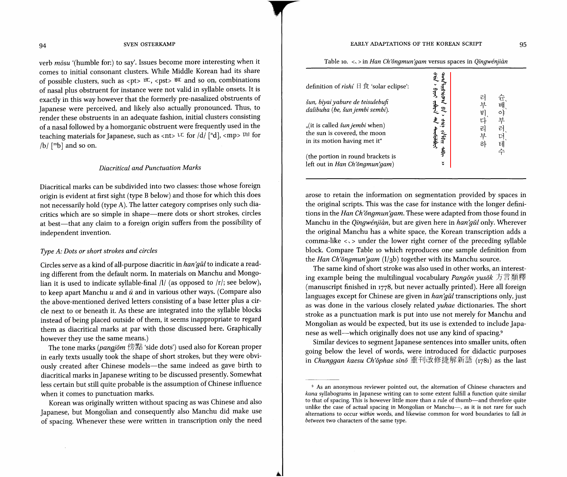Table 10. <,>in *Han Ch'6ngmun'gam* versus spaces in *Qingwerl)ian* 

# 94 SVEN OSTERKAMP

verb *mosu* '(humble for:) to say'. Issues become more interesting when it comes to initial consonant clusters. While Middle Korean had its share of possible clusters, such as <pt>  $H\rightarrow$  +  $\sim$  pst>  $W\rightarrow$  and so on, combinations of nasal plus obstruent for instance were not valid in syllable onsets. It is exactly in this way however that the formerly pre-nasalized obstruents of Japanese were perceived, and likely also actually pronounced. Thus, to render these obstruents in an adequate fashion, initial clusters consisting of a nasal followed by a homorganic obstruent were frequently used in the teaching materials for Japanese, such as <nt>  $\vee$  for */d/* [nd], <mp>  $\Pi$  for  $/b/$   $[m_b]$  and so on.

# *Diacritical and Punctuation Marks*

Diacritical marks can be subdivided into two classes: those whose foreign origin is evident at first sight (type B below) and those for which this does not necessarily hold (type A). The latter category comprises only such diacritics which are so simple in shape-mere dots or short strokes, circles at best-that any claim to a foreign origin suffers from the possibility of independent invention.

# *Type A: Dots or short strokes and circles*

Circles serve as a kind of all-purpose diacritic in *hangul* to indicate a reading different from the default norm. In materials on Manchu and Mongolian it is used to indicate syllable-final /l/ (as opposed to /r/; see below), to keep apart Manchu *u* and *i1* and in various other ways. (Compare also the above-mentioned derived letters consisting of a base letter plus a circle next to or beneath it. As these are integrated into the syllable blocks instead of being placed outside of them, it seems inappropriate to regard them as diacritical marks at par with those discussed here. Graphically however they use the same means.)

The tone marks (pangjŏm 傍點 'side dots') used also for Korean proper in early texts usually took the shape of short strokes, but they were obviously created after Chinese models-the same indeed as gave birth to diacritical marks inJapanese writing to be discussed presently. Somewhat less certain but still quite probable is the assumption of Chinese influence when it comes to punctuation marks.

Korean was originally written without spacing as was Chinese and also Japanese, but Mongolian and consequently also Manchu did make use of spacing. Whenever these were written in transcription only the need

| definition of <i>rishi</i> $\boxplus$ $\hat{\mathbb{R}}$ 'solar eclipse':                             |   |                         |
|-------------------------------------------------------------------------------------------------------|---|-------------------------|
| šun, biyai yabure de teisulebufi<br>dalibuha (be, šun jembi sembi).                                   |   | 슌<br>휴<br>뱨<br>Å.<br>٥I |
| "(it is called <i>šun jembi</i> when)<br>the sun is covered, the moon<br>in its motion having met it" |   | 부<br>근<br>부<br>히        |
| (the portion in round brackets is<br>left out in Han Ch'ŏngmun'gam)                                   | ະ |                         |

arose to retain the information on segmentation provided by spaces in the original scripts. This was the case for instance with the longer definitions in the *Han Ch'ongmun'gam.* These were adapted from those found in Manchu in the *Qingwenjian,* but are given here in *han'gul* only. Wherever the original Manchu has a white space, the Korean transcription adds a comma-like <, > under the lower right corner of the preceding syllable block. Compare Table 10 which reproduces one sample definition from the *Han Ch'ongmun'gam* (I/3b) together with its Manchu source.

The same kind of short stroke was also used in other works, an interesting example being the multilingual vocabulary *Pangon yusok 方言*類釋 (manuscript finished in 1778, but never actually printed). Here all foreign languages except for Chinese are given in *han'gŭl* transcriptions only, just as was done in the various closely related *yuhae* dictionaries. The short stroke as a punctuation mark is put into use not merely for Manchu and Mongolian as would be expected, but its use is extended to include Japanese as well—which originally does not use any kind of spacing.<sup>9</sup>

Similar devices to segment Japanese sentences into smaller units, often going below the level of words, were introduced for didactic purposes in *Chunggan kaesu Ch'ophae sino* 重刊改修捷解新語 (1781) as the last

<sup>&</sup>lt;sup>9</sup> As an anonymous reviewer pointed out, the alternation of Chinese characters and *kana* syllabograms in Japanese writing can to some extent fulfill a function quite similar to that of spacing. This is however little more than a rule of thumb-and therefore quite unlike the case of actual spacing in Mongolian or Manchu-, as it is not rare for such alternations to occur *within* words, and likewise common for word boundaries to fall *in between* two characters of the same type.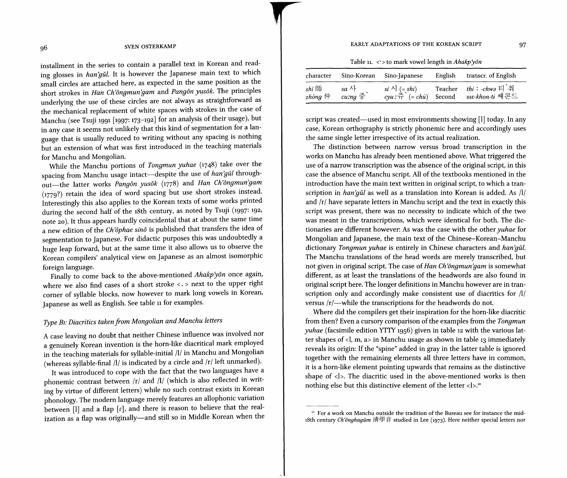# 96 SVEN OSTERKAMP

installment in the series to contain a parallel text in Korean and reading glosses in *han'gul.* It is however the Japanese main text to which small circles are attached here, as expected in the same position as the short strokes in *Han Ch'ongmun'gam* and *Pangon yusok.* The principles underlying the use of these circles are not always as straightforward as the mechanical replacement of white spaces with strokes in the case of Manchu (see Tsuji 1991 [ 1997: 173-192] for an analysis of their usage), but in any case it seems not unlikely that this kind of segmentation for a language that is usually reduced to writing without any spacing is nothing but an extension of what was first introduced in the teaching materials for Manchu and Mongolian.

While the Manchu portions of *Tongmun yuhae* (1748) take over the spacing from Manchu usage intact-despite the use of *han'gul* throughout-the latter works *Pangon yusok* (1778) and *Han Ch'ongmun'gam*  (1779?) retain the idea of word spacing but use short strokes instead. Interestingly this also applies to the Korean texts of some works printed during the second half of the 18th century, as noted by Tsuji (1997: 192, note 20 ). It thus appears hardly coincidental that at about the same time a new edition of the *Ch'ophae sino* is published that transfers the idea of segmentation to Japanese. For didactic purposes this was undoubtedly a huge leap forward, but at the same time it also allows us to observe the Korean compilers' analytical view on Japanese as an almost isomorphic foreign language.

Finally to come back to the above-mentioned *Ahakp'yon* once again, where we also find cases of a short stroke <, > next to the upper right comer of syllable blocks, now however to mark long vowels in Korean, Japanese as well as English. See table 11 for examples.

# *Type* B1: *Diacritics taken from Mongolian and Manchu letters*

A case leaving no doubt that neither Chinese influence was involved nor a genuinely Korean invention is the horn-like diacritical mark employed in the teaching materials for syllable-initial /l/ in Manchu and Mongolian (whereas syllable-final /l/ is indicated by a circle and /r/ left unmarked).

It was introduced to cope with the fact that the two languages have a phonemic contrast between /r/ and /1/ (which is also reflected in writing by virtue of different letters) while no such contrast exists in Korean phonology. The modem language merely features an allophonic variation between [l] and a flap [c], and there is reason to believe that the realization as a flap was originally-and still so in Middle Korean when the

|  | Table 11. <> to mark vowel length in Ahakp'yŏn |  |  |  |  |
|--|------------------------------------------------|--|--|--|--|
|--|------------------------------------------------|--|--|--|--|

| character                               |             | Sino-Korean Sino-Japanese | English transcr. of English                                                       |
|-----------------------------------------|-------------|---------------------------|-----------------------------------------------------------------------------------|
| shi $\sin$ sa $\lambda$<br>$zh$ òng $#$ | $curng \xi$ |                           | $si \wedge (=shi)$ Teacher thi: -chwa 티 츾<br>cyu:쥬 (= chū) Second sse-khon-ti 쌔콘드 |

script was created—used in most environments showing [1] today. In any case, Korean orthography is strictly phonemic here and accordingly uses the same single letter irrespective of its actual realization.

The distinction between narrow versus broad transcription in the works on Manchu has already been mentioned above. What triggered the use of a narrow transcription was the absence of the original script, in this case the absence of Manchu script. All of the textbooks mentioned in the introduction have the main text written in original script, to which a transcription in *han'gul* as well as a translation into Korean is added. As /1/ and /r/ have separate letters in Manchu script and the text in exactly this script was present, there was no necessity to indicate which of the two was meant in the transcriptions, which were identical for both. The dictionaries are different however: As was the case with the other *yuhae* for Mongolian and Japanese, the main text of the Chinese-Korean-Manchu dictionary *Tongmun yuhae* is entirely in Chinese characters and *han 'gul.*  The Manchu translations of the head words are merely transcribed, but not given in original script. The case of *Han Ch'ongmun'gam* is somewhat different, as at least the translations of the headwords are also found in original script here. The longer definitions in Manchu however are in transcription only and accordingly make consistent use of diacritics for  $|1|$ versus /r/---while the transcriptions for the headwords do not.

Where did the compilers get their inspiration for the hom-like diacritic from then? Even a cursory comparison of the examples from the *Tongmun yuhae* (facsimile edition YTTY 1956) given in table 12 with the various latter shapes of <l, m, a> in Manchu usage as shown in table 13 immediately reveals its origin: If the "spine" added in gray in the latter table is ignored together with the remaining elements all three letters have in common, it is a horn-like element pointing upwards that remains as the distinctive shape of  $\langle$ 1>. The diacritic used in the above-mentioned works is then nothing else but this distinctive element of the letter <1>.<sup>10</sup>

<sup>&</sup>lt;sup>10</sup> For a work on Manchu outside the tradition of the Bureau see for instance the mid-18th century Ch'onghagǔm 清學音 studied in Lee (1973). Here neither special letters nor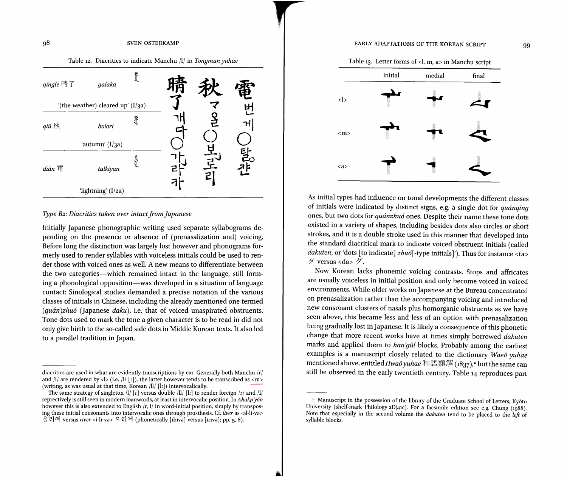



# Table 12. Diacritics to indicate Manchu /l/ in *Tongmun yuhae*

# *Type B2: Diacritics taken over intact from japanese*

Initially Japanese phonographic writing used separate syllabograms depending on the presence or absence of (prenasalization and) voicing. Before long the distinction was largely lost however and phonograms formerly used to render syllables with voiceless initials could be used to render those with voiced ones as well. A new means to differentiate between the two categories—which remained intact in the language, still forming a phonological opposition—was developed in a situation of language contact: Sinological studies demanded a precise notation of the various classes of initials in Chinese, including the already mentioned one termed *(quan)zhu6* (Japanese *daku),* i.e. that of voiced unaspirated obstruents. Tone dots used to mark the tone a given character is to be read in did not only give birth to the so-called side dots in Middle Korean texts. It also led to a parallel tradition in Japan.



As initial types had influence on tonal developments the different classes of initials were indicated by distinct signs, e.g. a single dot for *quanqing*  ones, but two dots for *quanzhu6* ones. Despite their name these tone dots existed in a variety of shapes, including besides dots also circles or short strokes, and it is a double stroke used in this manner that developed into the standard diacritical mark to indicate voiced obstruent initials (called dakuten, or 'dots [to indicate]  $zhu$ <sub>0</sub>[-type initials]'). Thus for instance <ta>  $\overline{\mathcal{P}}$  versus <da>  $\overline{\mathcal{P}}$ .

Now Korean lacks phonemic voicing contrasts. Stops and affricates are usually voiceless in initial position and only become voiced in voiced environments. While older works on Japanese at the Bureau concentrated on prenasalization rather than the accompanying voicing and introduced new consonant clusters of nasals plus homorganic obstruents as we have seen above, this became less and less of an option with prenasalization being gradually lost in Japanese. It is likely a consequence of this phonetic change that more recent works have at times simply borrowed *dakuten*  marks and applied them to *han'gŭl* blocks. Probably among the earliest examples is a manuscript closely related to the dictionary *Waeo yuhae*  mentioned above, entitled *Hwaŏ yuhae* 和語類解 (1837)," but the same can still be observed in the early twentieth century. Table 14 reproduces part

diacritics are used in what are evidently transcriptions by ear. Generally both Manchu  $\langle r \rangle$ and  $|1|$  are rendered by <l> (i.e.  $|1|$  [r]), the latter however tends to be transcribed as <m> (writing, as was usual at that time, Korean  $\frac{1}{1}$  [1:]) intervocalically.

The same strategy of singleton  $\frac{1}{r}$  [r] versus double  $\frac{1}{r}$  [1:] to render foreign  $\frac{r}{a}$  and  $\frac{1}{a}$ reprectively is still seen in modem loanwords, at least in intervocalic position. In *Ahakp'yon*  however this is also extended to English  $/r$ ,  $l$  in word-initial position, simply by transposing these initial consonants into intervocalic ones through prosthesis. Cf. *liver* as <il-li-va> 을리뻐 versus *river* <i-li-va> 으리뻐 (phonetically [il:iva] versus [iriva]; pp. 5, 8).

<sup>&</sup>lt;sup>11</sup> Manuscript in the possession of the library of the Graduate School of Letters, Kyōto University (shelf-mark Philology|2D|41c). For a facsimile edition see e.g. Chung (1988). Note that especially in the second volume the *dakuten* tend to be placed to the *left* of syllable blocks.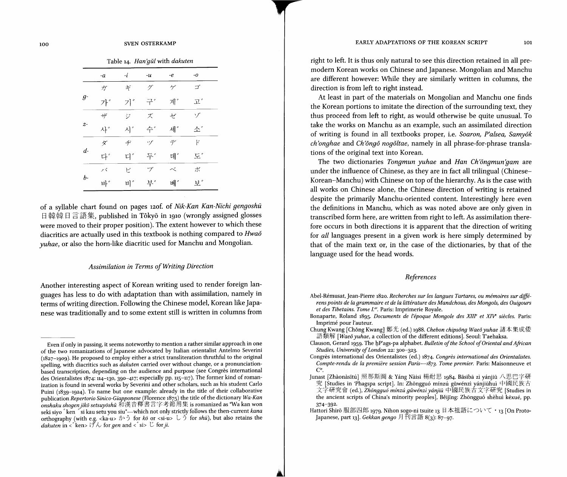# 100 SVEN OSTERKAMP

| Table 14. Han'gŭl with dakuten |  |  |  |
|--------------------------------|--|--|--|
|--------------------------------|--|--|--|

|      | -a | -i               | -и | -e | -0             |
|------|----|------------------|----|----|----------------|
|      | ガ  | ギ                | グ  | ゲ  | ゴ              |
| $g-$ | 가` | $7$ <sup>*</sup> | 구` | 계` | $\mathbb{I}^*$ |
|      | ザ  | ジ                | ズ  | ゼ  | ヽノ゚            |
| $z-$ | 사` | 시`               | 수* | 셰` | 소゛             |
|      | ダ  | ヂ                | ップ | デ  | F              |
| $d-$ | 다゛ | 디`               | 두` | 데` | 도°             |
|      | バ  | ピ                | ブ  | べ  | ポ              |
| b-   | 바` | 비,               | 부` | 베, | 耳,             |

of a syllable chart found on pages 12of. of *Nik-Kan Kan-Nichi gengoshu*  日韓韓日言語集, published in Tōkyō in 1910 (wrongly assigned glosses were moved to their proper position). The extent however to which these diacritics are actually used in this textbook is nothing compared to *Hwao yuhae,* or also the hom-like diacritic used for Manchu and Mongolian.

# *Assimilation in Terms ofWriting Direction*

Another interesting aspect of Korean writing used to render foreign languages has less to do with adaptation than with assimilation, namely in terms of writing direction. Following the Chinese model, Korean like japanese was traditionally and to some extent still is written in columns from right to left. It is thus only natural to see this direction retained in all premodern Korean works on Chinese and Japanese. Mongolian and Manchu are different however: While they are similarly written in columns, the direction is from left to right instead.

At least in part of the materials on Mongolian and Manchu one finds the Korean portions to imitate the direction of the surrounding text, they thus proceed from left to right, as would otherwise be quite unusual. To take the works on Manchu as an example, such an assimilated direction of writing is found in all textbooks proper, i.e. *Soaron, P'alsea, Samyok ch'onghae* and *Ch'ongo nogoltae,* namely in all phrase-for-phrase translations of the original text into Korean.

The two dictionaries *Tongmun yuhae* and *Han Ch'ongmun'gam* are under the influence of Chinese, as they are in fact all trilingual (Chinese-Korean-Manchu) with Chinese on top of the hierarchy. As is the case with all works on Chinese alone, the Chinese direction of writing is retained despite the primarily Manchu-oriented content. Interestingly here even the definitions in Manchu, which as was noted above are only given in transcribed form here, are written from right to left. As assimilation therefore occurs in both directions it is apparent that the direction of writing for *all* languages present in a given work is here simply determined by that of the main text or, in the case of the dictionaries, by that of the language used for the head words.

## *References*

- Abel-Remusat, Jean-Pierre 1820. *Recherches sur les langues Tartares, ou memoires sur dif[erens points de La grammaire et de La litterature des Mandchous, des Mongols, des Ouigours et des Tibetains. Tome I.<sup>er</sup>. Paris: Imprimerie Royale.*
- Bonaparte, Roland 1895. *Documents de l'epoque Mongole des Xl/Ie et* XIV" *siecles.* Paris: Imprime pour !'auteur.
- Chung Kwang [Chŏng Kwang] 鄭光 (ed.) 1988. *Chebon chipsŏng Waeŏ yuhae* 諸本集成倭 語類解 [Waeo yuhae, a collection of the different editions]. Seoul: T'aehaksa.
- Clauson, Gerard 1959. The bP'ags-pa alphabet. *Bulletin of the School of Oriental and African Studies, University of London* 22: 300-323.
- Congrès international des Orientalistes (ed.) 1874. Congrès international des Orientalistes. *Compte-rendu de La premiere session Paris-1873· Tome premier.* Paris: Maisonneuve et C<sup>ie</sup>.
- Junast [Zhàonàsītú] 照那斯圖 & Yáng Nàisī 楊耐思 1984. Bāsībā zì yánjiū 八思巴字研 究 [Studies in 'Phagspa script]. In: Zhōngguó mínzú gǔwénzì yánjiūhuì 中國民族古 文字研究會 (ed.), *Zhōngguó mínzú gǔwénzì yánjiū* 中國民族古文字研究 [Studies in the ancient scripts of China's minority peoples], Běijīng: Zhōngguó shèhuì kēxué, pp. 374-392.
- Hattori Shirō 服部四郎 1979. Nihon sogo-ni tsuite 13 日本祖語について・13 [On Proto-Japanese, part 13]. *Gekkan gengo* 月刊言語 8(3): 87-97.

Even if only in passing, it seems noteworthy to mention a rather similar approach in one of the two romanizations of Japanese advocated by Italian orientalist Antelmo Severini (1827-1909). He proposed to employ either a strict transliteration thruthful to the original spelling, with diacritics such as *dakuten* carried over without change, or a pronunciationbased transcription, depending on the audience and purpose (see Congres international des Orientalistes 1874: 114-130, 390-417; especially pp. 115-117). The former kind of romanization is found in several works by Severini and other scholars, such as his student Carlo Puini (1839-1924). To name but one example: already in the title of their collaborative publication *Repertorio Sinico-Giapponese* (Florence 1875) the title of the dictionary *Wa-Kan onshaku shogen jikō setsuyōshū* 和漢音釋書言字考節用集 is romanized as "Wa kan won seki siyo `ken `si kau setu you siu"—which not only strictly follows the then-current *kana* orthography (with e.g. <ka-u> *lJ" 5* for *ko* or <si-u> L *5* for *shu),* but also retains the *dakuten* in  $\epsilon$  ken>  $\forall$  *i*  $\land$  for *gen* and  $\epsilon$  si>  $\lor$  for *ji*.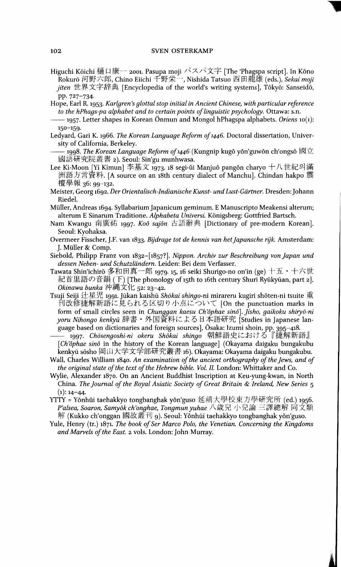#### SVEN OSTERKAMP

- Higuchi Kōichi 樋口康一 2001. Pasupa moji パスパ文字 [The 'Phagspa script]. In Kōno Rokurō 河野六郎, Chino Eiichi 千野栄一, Nishida Tatsuo 西田龍雄 (eds.), *Sekai moji* jiten 世界文字辞典 [Encyclopedia of the world's writing systems], Tōkyō: Sanseidō, pp. 727-734.
- Hope, Earl R. 1953. Karlgren's glottal stop initial in Ancient Chinese, with particular reference to the hPhags-pa alphabet and to certain points of linguistic psychology. Ottawa: s.n.
- 1957. Letter shapes in Korean Önmun and Mongol hPhagspa alphabets. *Oriens* 10(1):  $150 - 159.$
- Ledyard, Gari K. 1966. The Korean Language Reform of 1446. Doctoral dissertation, University of California, Berkelev.

1998. The Korean Language Reform of 1446 (Kungnip kugŏ yŏn'guwŏn ch'ongsŏ  $\overline{\boxtimes} \overline{\boxtimes}$ 國語研究院叢書 2). Seoul: Sin'gu munhwasa.

- Lee Ki-Moon [Yi Kimun] 李基文 1973. 18 segi-ŭi Manjuŏ pangŏn charyo 十八世紀의滿 洲語方言資料. [A source on an 18th century dialect of Manchu]. Chindan hakpo 震 檀學報 36: 99-132.
- Meister, Georg 1692. Der Orientalisch-Indianische Kunst- und Lust-Gärtner. Dresden: Johann Riedel.
- Müller, Andreas 1694. Syllabarium Japanicum geminum. E Manuscripto Meakensi alterum; alterum E Sinarum Traditione. Alphabeta Universi. Königsberg: Gottfried Bartsch.
- Nam Kwangu 南廣祐 1997. Koo sajon 古語辭典 [Dictionary of pre-modern Korean]. Seoul: Kyohaksa.
- Overmeer Fisscher, J.F. van 1833. Bijdrage tot de kennis van het Japansche rijk. Amsterdam: I. Müller & Comp.
- Siebold, Philipp Franz von 1832-[1857?]. Nippon. Archiv zur Beschreibung von Japan und dessen Neben- und Schutzländern. Leiden: Bei dem Verfasser.
- Tawata Shin'ichirō 多和田真一郎 1979. 15, 16 seiki Shurigo-no on'in (ge) 十五 · 十六世 紀首里語の音韻 (下) [The phonology of 15th to 16th century Shuri Ryūkyūan, part 2]. Okinawa bunka 沖縄文化 52: 23-42.
- Tsuji Seiji 辻星児 1991. Jūkan kaishū Shōkai shingo-ni mirareru kugiri shōten-ni tsuite 重 刊改修捷解新語に見られる区切り小点について [On the punctuation marks in form of small circles seen in Chunggan kaesu Ch'ŏphae sinŏ]. Jisho, gaikoku shiryō-ni voru Nihongo kenkyū 辞書・外国資料による日本語研究 [Studies in Japanese language based on dictionaries and foreign sources], Osaka: Izumi shoin, pp. 395-418.

1997. Chōsengoshi-ni okeru Shōkai shingo 朝鮮語史における『捷解新語』 [Ch'ophae sino in the history of the Korean language] (Okayama daigaku bungakubu kenkyū sōsho 岡山大学文学部研究叢書 16). Okayama: Okayama daigaku bungakubu.

- Wall, Charles William 1840. An examination of the ancient orthography of the Jews, and of the original state of the text of the Hebrew bible. Vol. II. London: Whittaker and Co.
- Wylie, Alexander 1870. On an Ancient Buddhist Inscription at Keu-yung-kwan, in North China. The Journal of the Royal Asiatic Society of Great Britain & Ireland, New Series 5  $(1): 14-44.$
- YTTY = Yŏnhǔi taehakkyo tongbanghak yŏn'guso 延禧大學校東方學研究所 (ed.) 1956. P'alsea, Soaron, Samyŏk ch'onghae, Tongmun yuhae 八歲兒 小兒論 三譯總解 同文類 解 (Kukko ch'onggan 國故叢刊 9). Seoul: Yŏnhŭi taehakkyo tongbanghak yŏn'guso.
- Yule, Henry (tr.) 1871. The book of Ser Marco Polo, the Venetian. Concerning the Kingdoms and Marvels of the East. 2 vols. London: John Murray.

102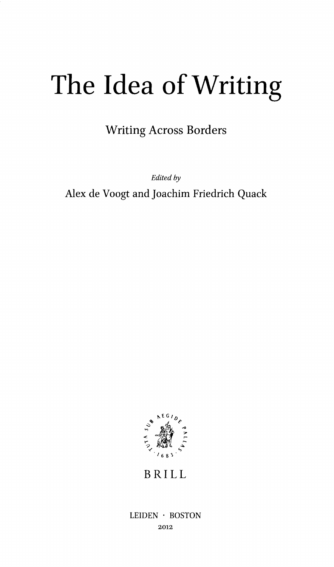# The Idea of Writing

**Writing Across Borders** 

Edited by

Alex de Voogt and Joachim Friedrich Quack



**BRILL** 

# LEIDEN · BOSTON 2012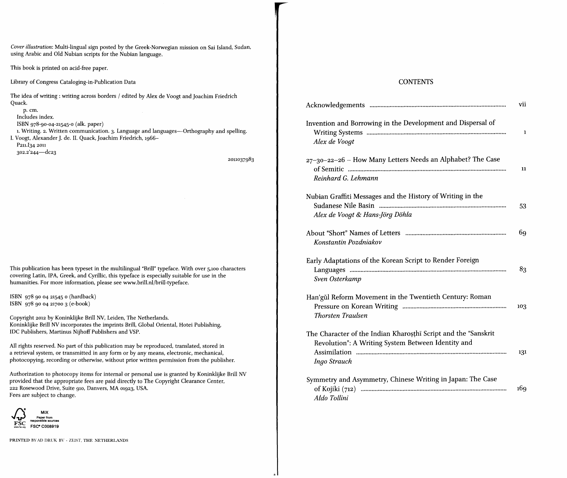*Cover illustration:* Multi-lingual sign posted by the Greek-Norwegian mission on Sai Island, Sudan, using Arabic and Old Nubian scripts for the Nubian language.

This book is printed on acid-free paper.

Library of Congress Cataloging-in-Publication Data

The idea of writing: writing across borders / edited by Alex de Voogt and Joachim Friedrich Quack.

p.cm.

Includes index.

ISBN g78-go-o4-21545-0 (alk. paper)

1. Writing. 2. Written communication. 3· Language and languages-Orthography and spelling. I. Voogt, Alexander J. de. II. Quack, Joachim Friedrich, 1g66-

P2n.l34 2011

 $302.2'$  244  $-d$  c23

2011037983

This publication has been typeset in the multilingual "Brill" typeface. With over 5,100 characters covering Latin, IPA, Greek, and Cyrillic, this typeface is especially suitable for use in the humanities. For more information, please see www.brill.nl/brill-typeface.

ISBN g78 go 04 21545 o (hardback) ISBN g78 go 04 21700 3 ( e-book)

Copyright 2012 by Koninklijke Brill NV, Leiden, The Netherlands. Koninklijke Brill NV incorporates the imprints Brill, Global Oriental, Hotei Publishing, IDC Publishers, Martinus Nijhoff Publishers and VSP.

All rights reserved. No part of this publication may be reproduced, translated, stored in a retrieval system, or transmitted in any form or by any means, electronic, mechanical, photocopying, recording or otherwise, without prior written permission from the publisher.

Authorization to photocopy items for internal or personal use is granted by Koninklijke Brill NV provided that the appropriate fees are paid directly to The Copyright Clearance Center, 222 Rosewood Drive, Suite 910, Danvers, MA 01923, USA. Fees are subject to change.



PRINTED BY AD DRuK BV - ZEIST, THE NETHERLANDS

# **CONTENTS**

|                                                                                                                                      | vii |
|--------------------------------------------------------------------------------------------------------------------------------------|-----|
| Invention and Borrowing in the Development and Dispersal of<br>Alex de Voogt                                                         | 1   |
| 27-30-22-26 - How Many Letters Needs an Alphabet? The Case<br>Reinhard G. Lehmann                                                    | 11  |
| Nubian Graffiti Messages and the History of Writing in the<br>Alex de Voogt & Hans-Jörg Döhla                                        | 53  |
| Konstantin Pozdniakov                                                                                                                | 69  |
| Early Adaptations of the Korean Script to Render Foreign<br>Sven Osterkamp                                                           | 83  |
| Han'gŭl Reform Movement in the Twentieth Century: Roman<br><b>Thorsten Traulsen</b>                                                  | 103 |
| The Character of the Indian Kharosthi Script and the "Sanskrit<br>Revolution": A Writing System Between Identity and<br>Ingo Strauch | 131 |
| Symmetry and Asymmetry, Chinese Writing in Japan: The Case<br>Aldo Tollini                                                           | 169 |